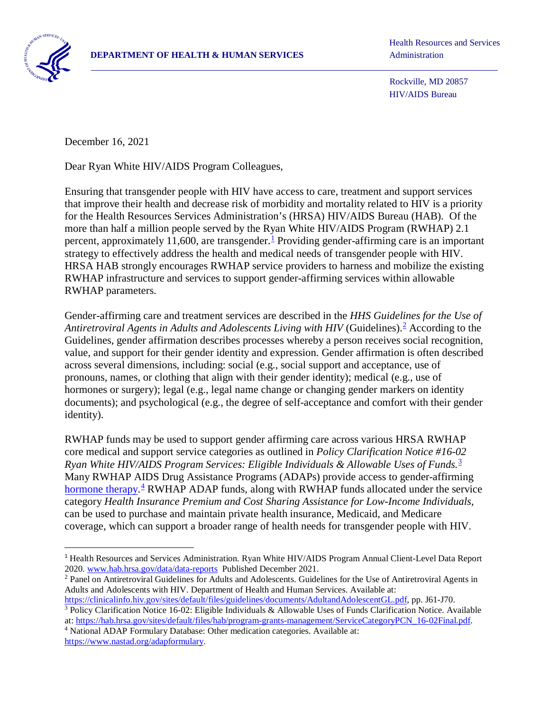

 Health Resources and Services Administration

 Rockville, MD 20857 HIV/AIDS Bureau

December 16, 2021

Dear Ryan White HIV/AIDS Program Colleagues,

Ensuring that transgender people with HIV have access to care, treatment and support services that improve their health and decrease risk of morbidity and mortality related to HIV is a priority for the Health Resources Services Administration's (HRSA) HIV/AIDS Bureau (HAB). Of the more than half a million people served by the Ryan White HIV/AIDS Program (RWHAP) 2.1 percent, approximately 11,600, are transgende[r.](#page-0-0)<sup>[1](#page-0-4)</sup> Providing gender-affirming care is an important strategy to effectively address the health and medical needs of transgender people with HIV. HRSA HAB strongly encourages RWHAP service providers to harness and mobilize the existing RWHAP infrastructure and services to support gender-affirming services within allowable RWHAP parameters.

Gender-affirming care and treatment services are described in the *HHS Guidelines for the Use of Antiretroviral Agents in Adults and Adolescents Living with HIV* (Guidelines[\).](#page-0-1) [2](#page-0-5) According to the Guidelines, gender affirmation describes processes whereby a person receives social recognition, value, and support for their gender identity and expression. Gender affirmation is often described across several dimensions, including: social (e.g., social support and acceptance, use of pronouns, names, or clothing that align with their gender identity); medical (e.g., use of hormones or surgery); legal (e.g., legal name change or changing gender markers on identity documents); and psychological (e.g., the degree of self-acceptance and comfort with their gender identity).

RWHAP funds may be used to support gender affirming care across various HRSA RWHAP core medical and support service categories as outlined in *Policy Clarification Notice #16-02 Ryan White HIV/AIDS Program Services: Eligible Individuals & Allowable Uses of Funds.*[3](#page-0-2) Many RWHAP AIDS Drug Assistance Programs (ADAPs) provide access to gender-affirming [hormone therapy](https://www.nastad.org/adapformulary)[.](#page-0-3)<sup>[4](#page-0-7)</sup> RWHAP ADAP funds, along with RWHAP funds allocated under the service category *Health Insurance Premium and Cost Sharing Assistance for Low-Income Individuals*, can be used to purchase and maintain private health insurance, Medicaid, and Medicare coverage, which can support a broader range of health needs for transgender people with HIV.

<span id="page-0-7"></span><span id="page-0-3"></span>[https://www.nastad.org/adapformulary.](https://www.nastad.org/adapformulary)

<span id="page-0-4"></span><span id="page-0-0"></span><sup>1</sup> Health Resources and Services Administration. Ryan White HIV/AIDS Program Annual Client-Level Data Report 2020. [www.hab.hrsa.gov/data/data-reports](http://www.hab.hrsa.gov/data/data-reports) Published December 2021.

<span id="page-0-5"></span><span id="page-0-1"></span><sup>&</sup>lt;sup>2</sup> Panel on Antiretroviral Guidelines for Adults and Adolescents. Guidelines for the Use of Antiretroviral Agents in Adults and Adolescents with HIV. Department of Health and Human Services. Available at:

[https://clinicalinfo.hiv.gov/sites/default/files/guidelines/documents/AdultandAdolescentGL.pdf,](https://clinicalinfo.hiv.gov/sites/default/files/guidelines/documents/AdultandAdolescentGL.pdf) pp. J61-J70. <sup>3</sup> Policy Clarification Notice 16-02: Eligible Individuals & Allowable Uses of Funds Clarification Notice. Available

<span id="page-0-6"></span><span id="page-0-2"></span>at[: https://hab.hrsa.gov/sites/default/files/hab/program-grants-management/ServiceCategoryPCN\\_16-02Final.pdf.](https://hab.hrsa.gov/sites/default/files/hab/program-grants-management/ServiceCategoryPCN_16-02Final.pdf) 4 National ADAP Formulary Database: Other medication categories. Available at: